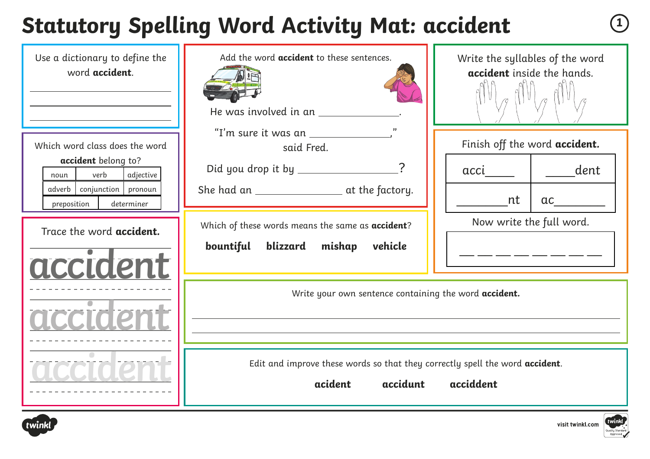# **Statutory Spelling Word Activity Mat: accident <sup>1</sup>**

| Use a dictionary to define the<br>word accident.<br>Which word class does the word                              | Add the word <b>accident</b> to these sentences.<br>He was involved in an _________<br>"I'm sure it was an $\_\_\_\_\_\_\_\_\_\_\_\_$ | Write the syllables of the word<br>accident inside the hands.<br>Finish off the word accident. |
|-----------------------------------------------------------------------------------------------------------------|---------------------------------------------------------------------------------------------------------------------------------------|------------------------------------------------------------------------------------------------|
| accident belong to?<br>verb<br>adjective<br>noun<br>adverb   conjunction   pronoun<br>preposition<br>determiner | said Fred.<br>Did you drop it by ________________?                                                                                    | dent<br>acci<br>nt<br>ac                                                                       |
| Trace the word accident.<br>accident                                                                            | Which of these words means the same as accident?<br>bountiful<br>blizzard mishap<br>vehicle                                           | Now write the full word.<br>_ ____ ___ ___ ___ ___ ___                                         |
|                                                                                                                 | Write your own sentence containing the word accident.<br><u> 1989 - Johann Barn, fransk politik (d. 1989)</u>                         |                                                                                                |
|                                                                                                                 | Edit and improve these words so that they correctly spell the word accident.<br>acident<br>accidunt                                   | acciddent                                                                                      |



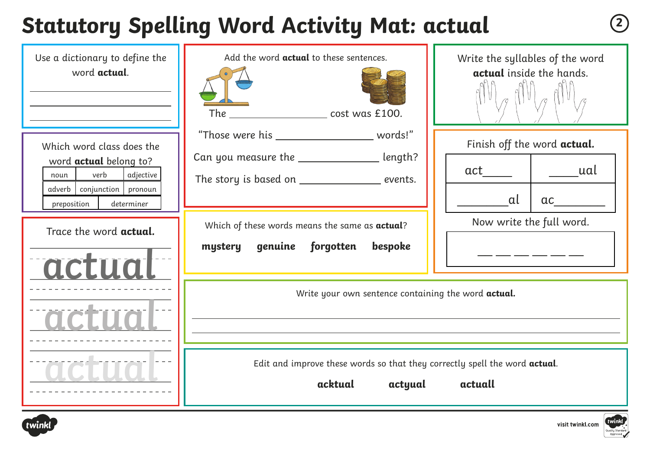# **Statutory Spelling Word Activity Mat: actual <sup>2</sup>**

| Use a dictionary to define the<br>word actual.                                                                                                   | Add the word <b>actual</b> to these sentences.<br>The ________________________ cost was £100.                                                       | Write the syllables of the word<br>actual inside the hands.     |
|--------------------------------------------------------------------------------------------------------------------------------------------------|-----------------------------------------------------------------------------------------------------------------------------------------------------|-----------------------------------------------------------------|
| Which word class does the<br>word actual belong to?<br>verb<br>adjective<br>noun<br>conjunction   pronoun<br>adverb<br>determiner<br>preposition | "Those were his _______________________ words!"<br>Can you measure the _______________ length?<br>The story is based on ___________________ events. | Finish off the word actual.<br>ual<br>act<br>al<br>active       |
| Trace the word <b>actual.</b><br>actua                                                                                                           | Which of these words means the same as actual?<br>genuine forgotten<br>bespoke<br>mystery<br>Write your own sentence containing the word actual.    | Now write the full word.<br>المستحدث المستحدث المستحدث المستحدث |
|                                                                                                                                                  | Edit and improve these words so that they correctly spell the word actual.<br>acktual<br>actyual                                                    | actuall                                                         |



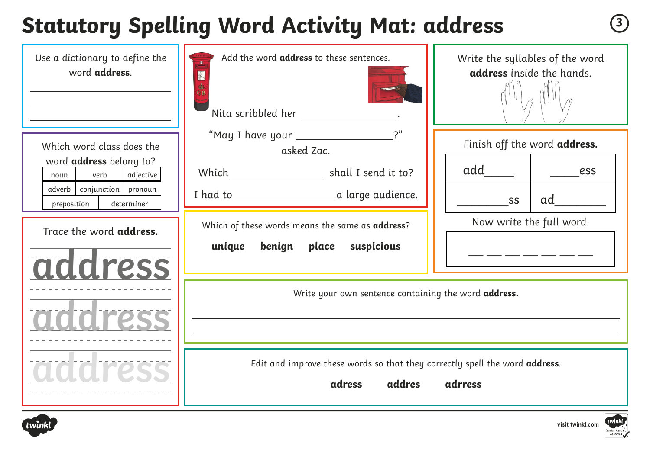### **Statutory Spelling Word Activity Mat: address <sup>3</sup>**

| Use a dictionary to define the<br>word address.         | Add the word address to these sentences.<br>Nita scribbled her ___________________.             | Write the syllables of the word<br>address inside the hands. |
|---------------------------------------------------------|-------------------------------------------------------------------------------------------------|--------------------------------------------------------------|
| Which word class does the                               | "May I have your __________________<br>asked Zac.                                               | Finish off the word address.                                 |
| word address belong to?<br>verb<br>adjective<br>noun    | Which ________________________ shall I send it to?                                              | add<br>ess                                                   |
| adverb conjunction pronoun<br>preposition<br>determiner |                                                                                                 | ad<br>SS                                                     |
| Trace the word address.                                 | Which of these words means the same as address?                                                 | Now write the full word.                                     |
| address                                                 | unique<br>benign place suspicious                                                               |                                                              |
|                                                         | Write your own sentence containing the word address.                                            |                                                              |
| adidiress                                               |                                                                                                 |                                                              |
|                                                         | Edit and improve these words so that they correctly spell the word address.<br>addres<br>adress | adrress                                                      |



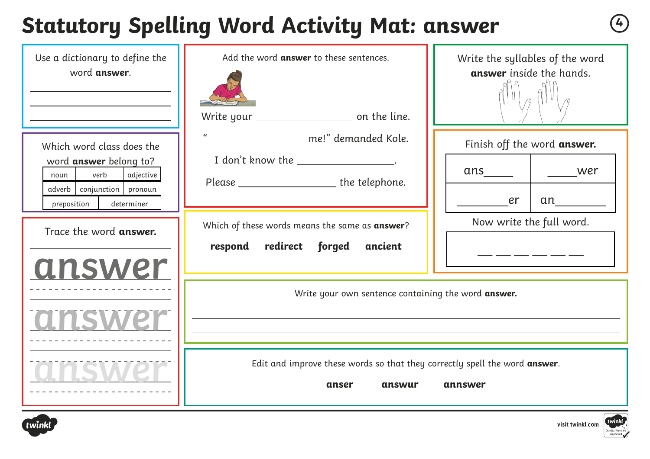### **Statutory Spelling Word Activity Mat: answer <sup>4</sup>**

| Use a dictionary to define the<br>word answer.                                                                                              | Add the word answer to these sentences.                                                                                                     | Write the syllables of the word<br>answer inside the hands. |
|---------------------------------------------------------------------------------------------------------------------------------------------|---------------------------------------------------------------------------------------------------------------------------------------------|-------------------------------------------------------------|
| Which word class does the<br>word answer belong to?<br>verb<br>adjective<br>noun<br>adverb conjunction pronoun<br>preposition<br>determiner | $\alpha$<br>_________________ me!" demanded Kole.<br>I don't know the _________________.<br>Please __________________________the telephone. | Finish off the word answer.<br>wer<br>er<br>an              |
| Trace the word answer.<br>answer                                                                                                            | Which of these words means the same as answer?<br>respond redirect forged<br>ancient                                                        | Now write the full word.<br><u>. _ _ _ _ _ _ _ _ _ _</u>    |
|                                                                                                                                             | Write your own sentence containing the word answer.                                                                                         |                                                             |
|                                                                                                                                             | Edit and improve these words so that they correctly spell the word answer.<br>anser<br>answur                                               | annswer                                                     |